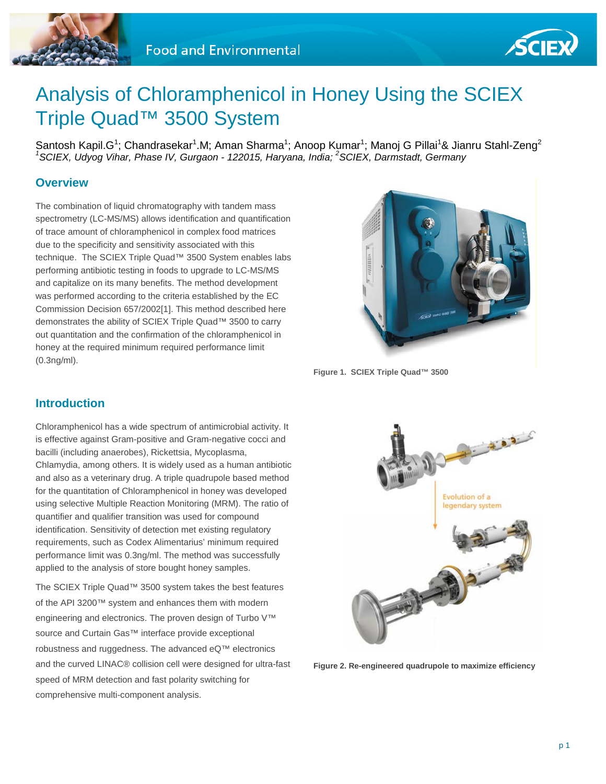



# Analysis of Chloramphenicol in Honey Using the SCIEX Triple Quad™ 3500 System

Santosh Kapil.G<sup>1</sup>; Chandrasekar<sup>1</sup>.M; Aman Sharma<sup>1</sup>; Anoop Kumar<sup>1</sup>; Manoj G Pillai<sup>1</sup>& Jianru Stahl-Zeng<sup>2</sup> *1 SCIEX, Udyog Vihar, Phase IV, Gurgaon - 122015, Haryana, India; <sup>2</sup> SCIEX, Darmstadt, Germany*

# **Overview**

The combination of liquid chromatography with tandem mass spectrometry (LC-MS/MS) allows identification and quantification of trace amount of chloramphenicol in complex food matrices due to the specificity and sensitivity associated with this technique. The SCIEX Triple Quad™ 3500 System enables labs performing antibiotic testing in foods to upgrade to LC-MS/MS and capitalize on its many benefits. The method development was performed according to the criteria established by the EC Commission Decision 657/2002[1]. This method described here demonstrates the ability of SCIEX Triple Quad™ 3500 to carry out quantitation and the confirmation of the chloramphenicol in honey at the required minimum required performance limit (0.3ng/ml).



**Figure 1. SCIEX Triple Quad™ 3500**

# **Introduction**

Chloramphenicol has a wide spectrum of antimicrobial activity. It is effective against Gram-positive and Gram-negative cocci and bacilli (including anaerobes), Rickettsia, Mycoplasma, Chlamydia, among others. It is widely used as a human antibiotic and also as a veterinary drug. A triple quadrupole based method for the quantitation of Chloramphenicol in honey was developed using selective Multiple Reaction Monitoring (MRM). The ratio of quantifier and qualifier transition was used for compound identification. Sensitivity of detection met existing regulatory

requirements, such as Codex Alimentarius' minimum required performance limit was 0.3ng/ml. The method was successfully applied to the analysis of store bought honey samples. The SCIEX Triple Quad™ 3500 system takes the best features

of the API 3200™ system and enhances them with modern engineering and electronics. The proven design of Turbo V™ source and Curtain Gas™ interface provide exceptional robustness and ruggedness. The advanced eQ™ electronics and the curved LINAC® collision cell were designed for ultra-fast speed of MRM detection and fast polarity switching for comprehensive multi-component analysis.



**Figure 2. Re-engineered quadrupole to maximize efficiency**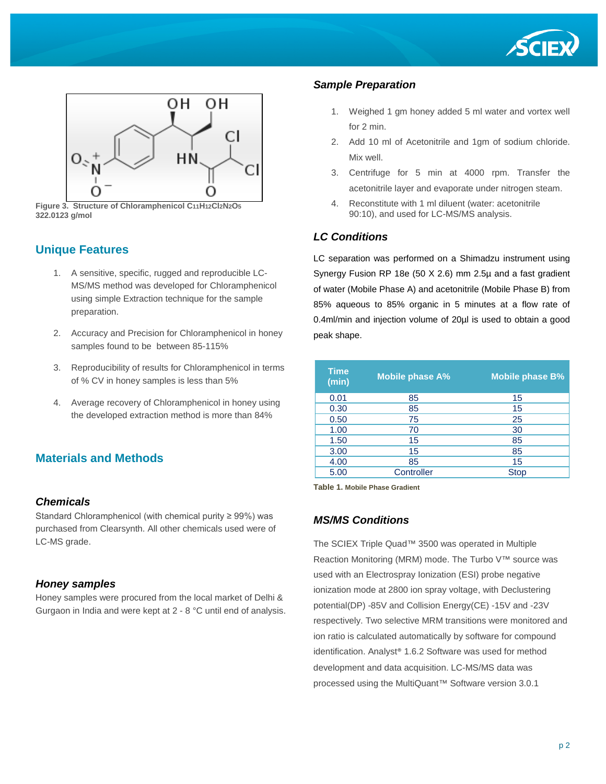



**Figure 3. Structure of Chloramphenicol C11H12Cl2N2O5 322.0123 g/mol**

## **Unique Features**

- 1. A sensitive, specific, rugged and reproducible LC-MS/MS method was developed for Chloramphenicol using simple Extraction technique for the sample preparation.
- 2. Accuracy and Precision for Chloramphenicol in honey samples found to be between 85-115%
- 3. Reproducibility of results for Chloramphenicol in terms of % CV in honey samples is less than 5%
- 4. Average recovery of Chloramphenicol in honey using the developed extraction method is more than 84%

## **Materials and Methods**

#### *Chemicals*

Standard Chloramphenicol (with chemical purity ≥ 99%) was purchased from Clearsynth. All other chemicals used were of LC-MS grade.

#### *Honey samples*

Honey samples were procured from the local market of Delhi & Gurgaon in India and were kept at 2 - 8 °C until end of analysis.

#### *Sample Preparation*

- 1. Weighed 1 gm honey added 5 ml water and vortex well for 2 min.
- 2. Add 10 ml of Acetonitrile and 1gm of sodium chloride. Mix well.
- 3. Centrifuge for 5 min at 4000 rpm. Transfer the acetonitrile layer and evaporate under nitrogen steam.
- 4. Reconstitute with 1 ml diluent (water: acetonitrile 90:10), and used for LC-MS/MS analysis.

#### *LC Conditions*

LC separation was performed on a Shimadzu instrument using Synergy Fusion RP 18e (50 X 2.6) mm 2.5µ and a fast gradient of water (Mobile Phase A) and acetonitrile (Mobile Phase B) from 85% aqueous to 85% organic in 5 minutes at a flow rate of 0.4ml/min and injection volume of 20µl is used to obtain a good peak shape.

| <b>Time</b><br>(min) | <b>Mobile phase A%</b> | <b>Mobile phase B%</b> |  |  |  |
|----------------------|------------------------|------------------------|--|--|--|
| 0.01                 | 85                     | 15                     |  |  |  |
| 0.30                 | 85                     | 15                     |  |  |  |
| 0.50                 | 75                     | 25                     |  |  |  |
| 1.00                 | 70                     | 30                     |  |  |  |
| 1.50                 | 15                     | 85                     |  |  |  |
| 3.00                 | 15                     | 85                     |  |  |  |
| 4.00                 | 85                     | 15                     |  |  |  |
| 5.00                 | Controller             | <b>Stop</b>            |  |  |  |

**Table 1. Mobile Phase Gradient**

#### *MS/MS Conditions*

The SCIEX Triple Quad™ 3500 was operated in Multiple Reaction Monitoring (MRM) mode. The Turbo V™ source was used with an Electrospray Ionization (ESI) probe negative ionization mode at 2800 ion spray voltage, with Declustering potential(DP) -85V and Collision Energy(CE) -15V and -23V respectively. Two selective MRM transitions were monitored and ion ratio is calculated automatically by software for compound identification. Analyst® 1.6.2 Software was used for method development and data acquisition. LC-MS/MS data was processed using the MultiQuant™ Software version 3.0.1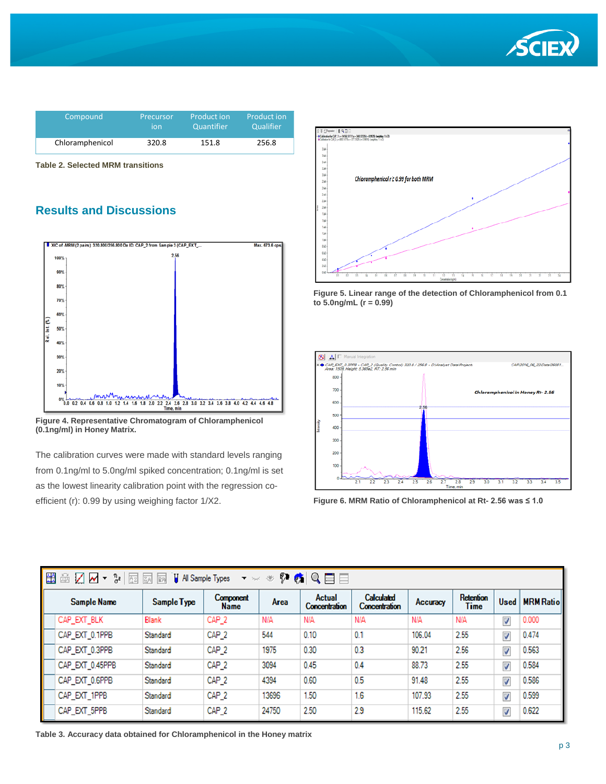

| Compound        | Precursor | Product ion | <b>Product ion</b> |
|-----------------|-----------|-------------|--------------------|
|                 | ion       | Quantifier  | Qualifier          |
| Chloramphenicol | 320.8     | 151.8       | 256.8              |

**Table 2. Selected MRM transitions**

# **Results and Discussions**



**Figure 4. Representative Chromatogram of Chloramphenicol (0.1ng/ml) in Honey Matrix.**

The calibration curves were made with standard levels ranging from 0.1ng/ml to 5.0ng/ml spiked concentration; 0.1ng/ml is set as the lowest linearity calibration point with the regression coefficient (r): 0.99 by using weighing factor 1/X2.







**Figure 6. MRM Ratio of Chloramphenicol at Rt- 2.56 was ≤ 1.0**

| E<br>$Q \equiv \equiv$<br>?の<br>$\frac{\eta}{\sigma^2}$<br>▩◪◛<br>$\overline{2}$<br><b>H</b> All Sample Types<br>$\overline{3A}$<br>函<br>帯<br>$\blacktriangledown$<br>$\pmb{\nabla} = \mathcal{V}_{\text{ext}} \vec{c}$ |             |                                 |             |                                       |                                           |          |                   |                      |                  |
|-------------------------------------------------------------------------------------------------------------------------------------------------------------------------------------------------------------------------|-------------|---------------------------------|-------------|---------------------------------------|-------------------------------------------|----------|-------------------|----------------------|------------------|
| <b>Sample Name</b>                                                                                                                                                                                                      | Sample Type | <b>Component</b><br><b>Name</b> | <b>Area</b> | <b>Actual</b><br><b>Concentration</b> | <b>Calculated</b><br><b>Concentration</b> | Accuracy | Retention<br>Time | <b>Used</b>          | <b>MRM Ratio</b> |
| CAP_EXT_BLK                                                                                                                                                                                                             | Blank       | CAP <sub>_2</sub>               | N/A         | N/A                                   | N/A                                       | N/A      | N/A               | $\blacktriangledown$ | 0.000            |
| CAP_EXT_0.1PPB                                                                                                                                                                                                          | Standard    | CAP_2                           | 544         | 0.10                                  | 0.1                                       | 106.04   | 2.55              | $\sqrt{2}$           | 0.474            |
| CAP_EXT_0.3PPB                                                                                                                                                                                                          | Standard    | CAP_2                           | 1975        | 0.30                                  | 0.3                                       | 90.21    | 2.56              | $\sqrt{2}$           | 0.563            |
| CAP_EXT_0.45PPB                                                                                                                                                                                                         | Standard    | CAP <sub>_2</sub>               | 3094        | 0.45                                  | 0.4                                       | 88.73    | 2.55              | $\blacktriangledown$ | 0.584            |
| CAP_EXT_0.6PPB                                                                                                                                                                                                          | Standard    | CAP <sub>_2</sub>               | 4394        | 0.60                                  | 0.5                                       | 91.48    | 2.55              | $\blacktriangledown$ | 0.586            |
| CAP_EXT_1PPB                                                                                                                                                                                                            | Standard    | CAP_2                           | 13696       | 1.50                                  | 1.6                                       | 107.93   | 2.55              | $\blacktriangledown$ | 0.599            |
| CAP_EXT_5PPB                                                                                                                                                                                                            | Standard    | CAP <sub>_2</sub>               | 24750       | 2.50                                  | 2.9                                       | 115.62   | 2.55              | $\sqrt{2}$           | 0.622            |

**Table 3. Accuracy data obtained for Chloramphenicol in the Honey matrix**